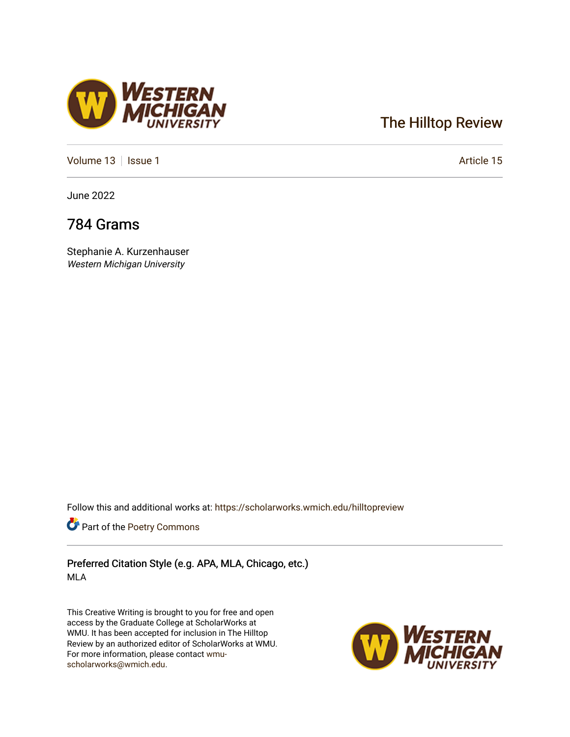## [The Hilltop Review](https://scholarworks.wmich.edu/hilltopreview)

[Volume 13](https://scholarworks.wmich.edu/hilltopreview/vol13) | [Issue 1](https://scholarworks.wmich.edu/hilltopreview/vol13/iss1) Article 15

June 2022

## 784 Grams

Stephanie A. Kurzenhauser Western Michigan University

Follow this and additional works at: [https://scholarworks.wmich.edu/hilltopreview](https://scholarworks.wmich.edu/hilltopreview?utm_source=scholarworks.wmich.edu%2Fhilltopreview%2Fvol13%2Fiss1%2F15&utm_medium=PDF&utm_campaign=PDFCoverPages)

Part of the [Poetry Commons](https://network.bepress.com/hgg/discipline/1153?utm_source=scholarworks.wmich.edu%2Fhilltopreview%2Fvol13%2Fiss1%2F15&utm_medium=PDF&utm_campaign=PDFCoverPages) 

Preferred Citation Style (e.g. APA, MLA, Chicago, etc.) MLA

This Creative Writing is brought to you for free and open access by the Graduate College at ScholarWorks at WMU. It has been accepted for inclusion in The Hilltop Review by an authorized editor of ScholarWorks at WMU. For more information, please contact [wmu](mailto:wmu-scholarworks@wmich.edu)[scholarworks@wmich.edu.](mailto:wmu-scholarworks@wmich.edu)



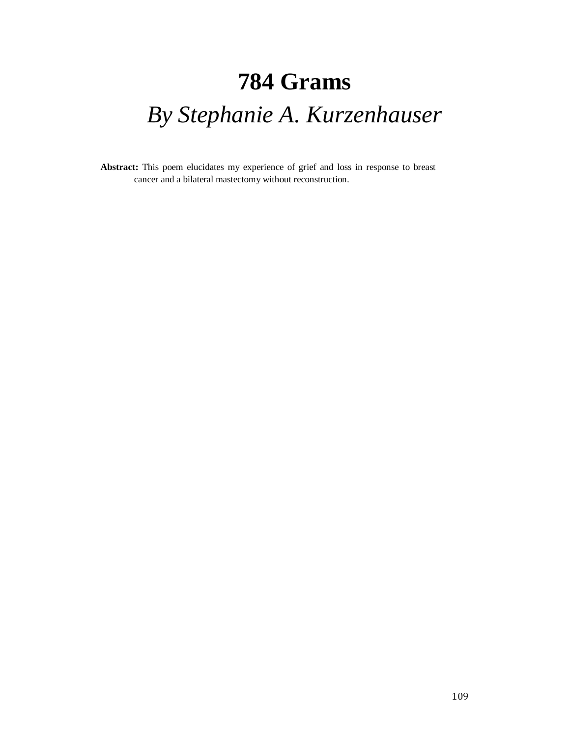## **784 Grams** *By Stephanie A. Kurzenhauser*

**Abstract:** This poem elucidates my experience of grief and loss in response to breast cancer and a bilateral mastectomy without reconstruction.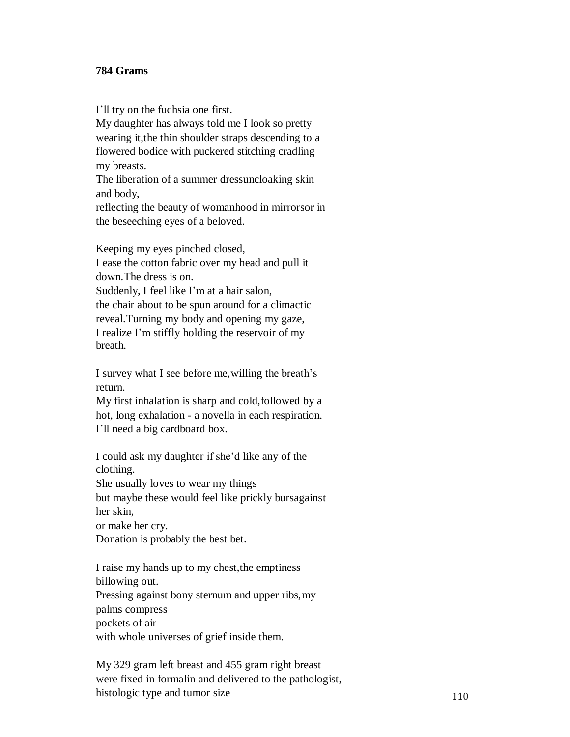## **784 Grams**

I'll try on the fuchsia one first.

My daughter has always told me I look so pretty wearing it,the thin shoulder straps descending to a flowered bodice with puckered stitching cradling my breasts.

The liberation of a summer dressuncloaking skin and body,

reflecting the beauty of womanhood in mirrorsor in the beseeching eyes of a beloved.

Keeping my eyes pinched closed,

I ease the cotton fabric over my head and pull it down.The dress is on.

Suddenly, I feel like I'm at a hair salon, the chair about to be spun around for a climactic reveal.Turning my body and opening my gaze, I realize I'm stiffly holding the reservoir of my breath.

I survey what I see before me,willing the breath's return.

My first inhalation is sharp and cold,followed by a hot, long exhalation - a novella in each respiration. I'll need a big cardboard box.

I could ask my daughter if she'd like any of the clothing.

She usually loves to wear my things but maybe these would feel like prickly bursagainst her skin,

or make her cry.

Donation is probably the best bet.

I raise my hands up to my chest,the emptiness billowing out. Pressing against bony sternum and upper ribs,my palms compress pockets of air with whole universes of grief inside them.

My 329 gram left breast and 455 gram right breast were fixed in formalin and delivered to the pathologist, histologic type and tumor size